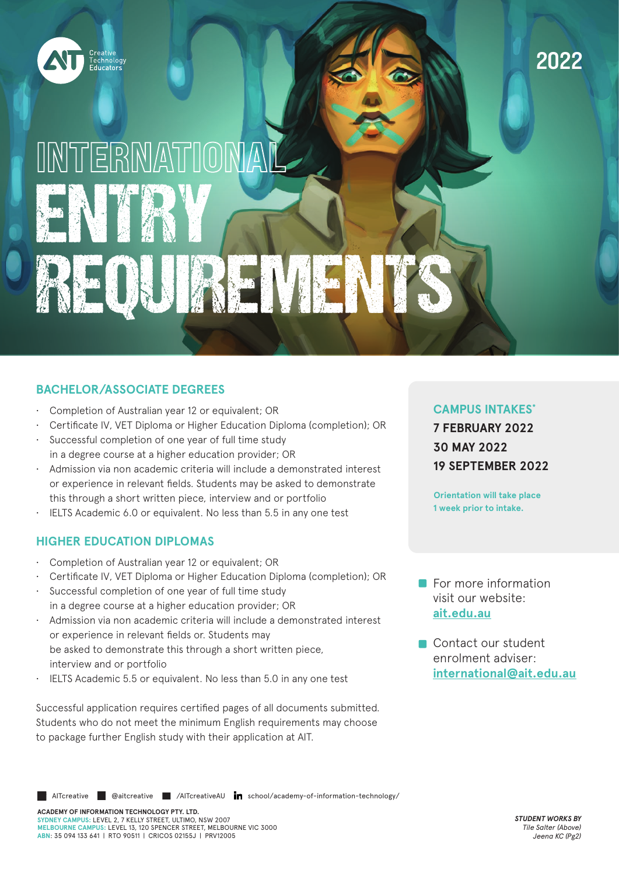

2022

# INTERNATIONAL ENTRY REQUIREMENTS

### **BACHELOR/ASSOCIATE DEGREES**

- Completion of Australian year 12 or equivalent; OR
- Certificate IV, VET Diploma or Higher Education Diploma (completion); OR
- Successful completion of one year of full time study in a degree course at a higher education provider; OR
- Admission via non academic criteria will include a demonstrated interest or experience in relevant fields. Students may be asked to demonstrate this through a short written piece, interview and or portfolio
- IELTS Academic 6.0 or equivalent. No less than 5.5 in any one test

## **HIGHER EDUCATION DIPLOMAS**

- Completion of Australian year 12 or equivalent; OR
- Certificate IV, VET Diploma or Higher Education Diploma (completion); OR
- Successful completion of one year of full time study in a degree course at a higher education provider; OR
- Admission via non academic criteria will include a demonstrated interest or experience in relevant fields or. Students may be asked to demonstrate this through a short written piece, interview and or portfolio
- IELTS Academic 5.5 or equivalent. No less than 5.0 in any one test

Successful application requires certified pages of all documents submitted. Students who do not meet the minimum English requirements may choose to package further English study with their application at AIT.

**CAMPUS INTAKES\* 7 FEBRUARY 2022 30 MAY 2022 19 SEPTEMBER 2022**

**Orientation will take place 1 week prior to intake.**

- **For more information** visit our website: **ait.edu.au**
- Contact our student enrolment adviser: **international@ait.edu.au**

AITcreative @aitcreative  $\blacksquare$  /AITcreativeAU  $\blacksquare$  school/academy-of-information-technology/

**ACADEMY OF INFORMATION TECHNOLOGY PTY. LTD. SYDNEY CAMPUS:** LEVEL 2, 7 KELLY STREET, ULTIMO, NSW 2007 **MELBOURNE CAMPUS:** LEVEL 13, 120 SPENCER STREET, MELBOURNE VIC 3000 **ABN**: 35 094 133 641 | RTO 90511 | CRICOS 02155J | PRV12005